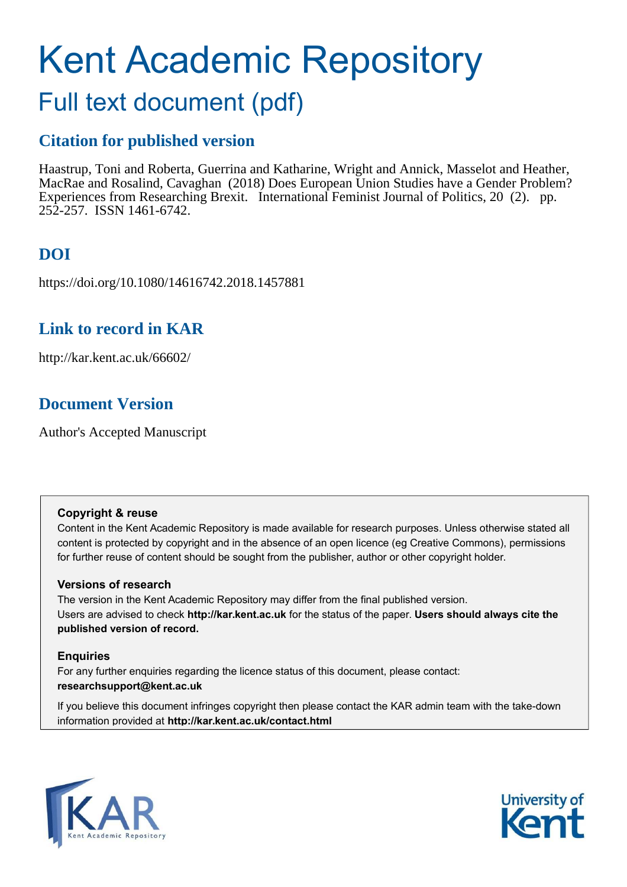# Kent Academic Repository

## Full text document (pdf)

## **Citation for published version**

Haastrup, Toni and Roberta, Guerrina and Katharine, Wright and Annick, Masselot and Heather, MacRae and Rosalind, Cavaghan (2018) Does European Union Studies have a Gender Problem? Experiences from Researching Brexit. International Feminist Journal of Politics, 20 (2). pp. 252-257. ISSN 1461-6742.

## **DOI**

https://doi.org/10.1080/14616742.2018.1457881

## **Link to record in KAR**

http://kar.kent.ac.uk/66602/

## **Document Version**

Author's Accepted Manuscript

#### **Copyright & reuse**

Content in the Kent Academic Repository is made available for research purposes. Unless otherwise stated all content is protected by copyright and in the absence of an open licence (eg Creative Commons), permissions for further reuse of content should be sought from the publisher, author or other copyright holder.

#### **Versions of research**

The version in the Kent Academic Repository may differ from the final published version. Users are advised to check **http://kar.kent.ac.uk** for the status of the paper. **Users should always cite the published version of record.**

#### **Enquiries**

For any further enquiries regarding the licence status of this document, please contact: **researchsupport@kent.ac.uk**

If you believe this document infringes copyright then please contact the KAR admin team with the take-down information provided at **http://kar.kent.ac.uk/contact.html**



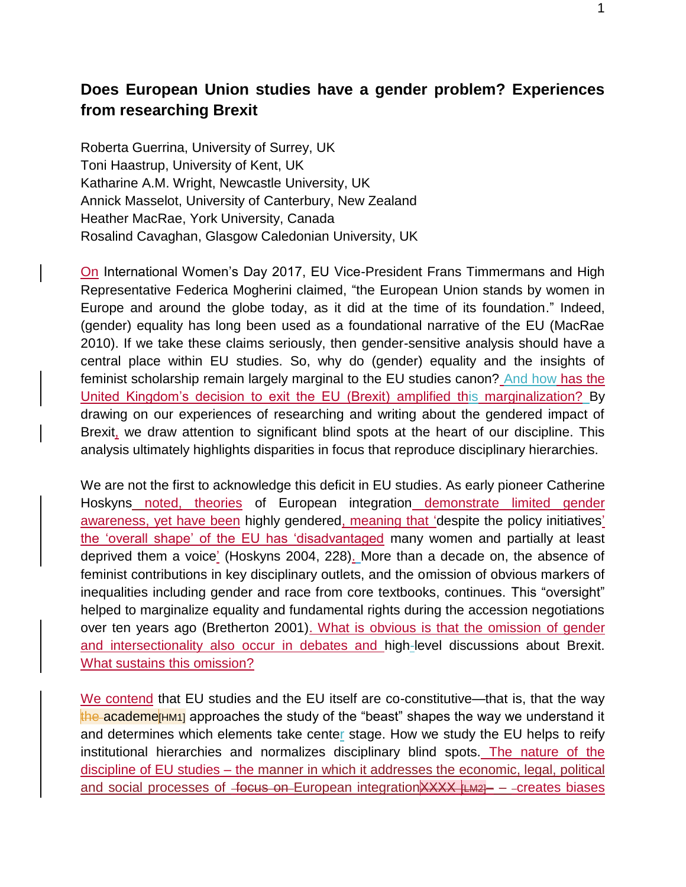### **Does European Union studies have a gender problem? Experiences from researching Brexit**

Roberta Guerrina, University of Surrey, UK Toni Haastrup, University of Kent, UK Katharine A.M. Wright, Newcastle University, UK Annick Masselot, University of Canterbury, New Zealand Heather MacRae, York University, Canada Rosalind Cavaghan, Glasgow Caledonian University, UK

On International Women's Day 2017, EU Vice-President Frans Timmermans and High Representative Federica Mogherini claimed, "the European Union stands by women in Europe and around the globe today, as it did at the time of its foundation." Indeed, (gender) equality has long been used as a foundational narrative of the EU (MacRae 2010). If we take these claims seriously, then gender-sensitive analysis should have a central place within EU studies. So, why do (gender) equality and the insights of feminist scholarship remain largely marginal to the EU studies canon? And how has the United Kingdom's decision to exit the EU (Brexit) amplified this marginalization? By drawing on our experiences of researching and writing about the gendered impact of Brexit, we draw attention to significant blind spots at the heart of our discipline. This analysis ultimately highlights disparities in focus that reproduce disciplinary hierarchies.

We are not the first to acknowledge this deficit in EU studies. As early pioneer Catherine Hoskyns noted, theories of European integration demonstrate limited gender awareness, yet have been highly gendered, meaning that 'despite the policy initiatives' the 'overall shape' of the EU has 'disadvantaged many women and partially at least deprived them a voice' (Hoskyns 2004, 228). More than a decade on, the absence of feminist contributions in key disciplinary outlets, and the omission of obvious markers of inequalities including gender and race from core textbooks, continues. This "oversight" helped to marginalize equality and fundamental rights during the accession negotiations over ten years ago (Bretherton 2001). What is obvious is that the omission of gender and intersectionality also occur in debates and high-level discussions about Brexit. What sustains this omission?

We contend that EU studies and the EU itself are co-constitutive—that is, that the way the academe<sup>[HM1]</sup> approaches the study of the "beast" shapes the way we understand it and determines which elements take center stage. How we study the EU helps to reify institutional hierarchies and normalizes disciplinary blind spots. The nature of the discipline of EU studies – the manner in which it addresses the economic, legal, political and social processes of focus on European integration  $\frac{X}{X}$  $\frac{L}{M^2}$  – creates biases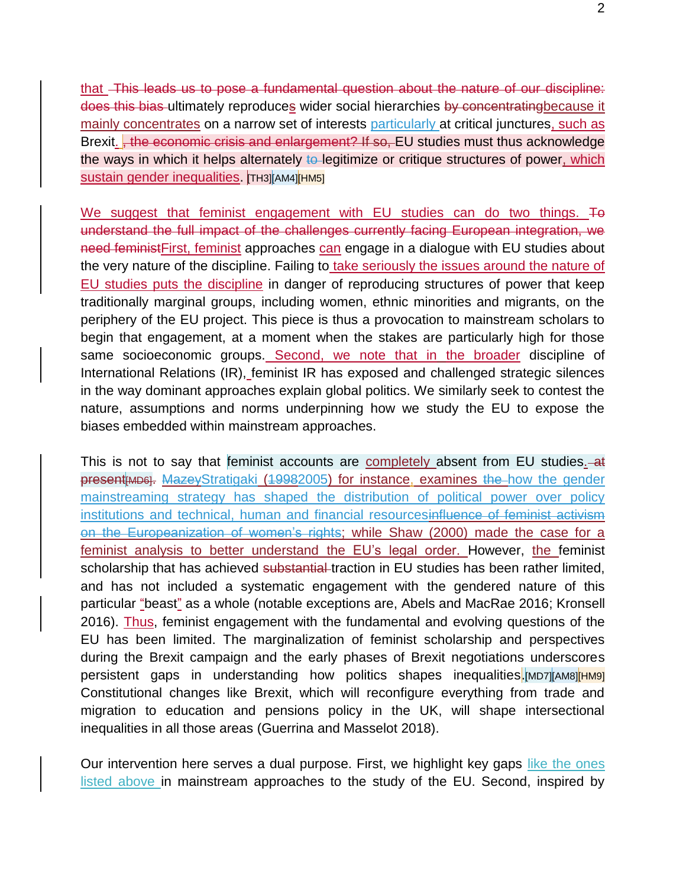that This leads us to pose a fundamental question about the nature of our discipline: does this bias ultimately reproduces wider social hierarchies by concentratingbecause it mainly concentrates on a narrow set of interests particularly at critical junctures, such as Brexit. the economic crisis and enlargement? If so, EU studies must thus acknowledge the ways in which it helps alternately to legitimize or critique structures of power, which **sustain gender inequalities. [TH3][AM4]<sup>[HM5]</sup>** 

We suggest that feminist engagement with EU studies can do two things. To understand the full impact of the challenges currently facing European integration, we need feministFirst, feminist approaches can engage in a dialogue with EU studies about the very nature of the discipline. Failing to take seriously the issues around the nature of EU studies puts the discipline in danger of reproducing structures of power that keep traditionally marginal groups, including women, ethnic minorities and migrants, on the periphery of the EU project. This piece is thus a provocation to mainstream scholars to begin that engagement, at a moment when the stakes are particularly high for those same socioeconomic groups. Second, we note that in the broader discipline of International Relations (IR), feminist IR has exposed and challenged strategic silences in the way dominant approaches explain global politics. We similarly seek to contest the nature, assumptions and norms underpinning how we study the EU to expose the biases embedded within mainstream approaches.

This is not to say that feminist accounts are completely absent from EU studies. at present<sub>[MD6]</sub>. MazeyStratigaki (19982005) for instance, examines the how the gender mainstreaming strategy has shaped the distribution of political power over policy institutions and technical, human and financial resourcesinfluence of feminist activism on the Europeanization of women's rights; while Shaw (2000) made the case for a feminist analysis to better understand the EU's legal order. However, the feminist scholarship that has achieved substantial traction in EU studies has been rather limited, and has not included a systematic engagement with the gendered nature of this particular "beast" as a whole (notable exceptions are, Abels and MacRae 2016; Kronsell 2016). Thus, feminist engagement with the fundamental and evolving questions of the EU has been limited. The marginalization of feminist scholarship and perspectives during the Brexit campaign and the early phases of Brexit negotiations underscores persistent gaps in understanding how politics shapes inequalities.[MD7][AM8][HM9] Constitutional changes like Brexit, which will reconfigure everything from trade and migration to education and pensions policy in the UK, will shape intersectional inequalities in all those areas (Guerrina and Masselot 2018).

Our intervention here serves a dual purpose. First, we highlight key gaps like the ones listed above in mainstream approaches to the study of the EU. Second, inspired by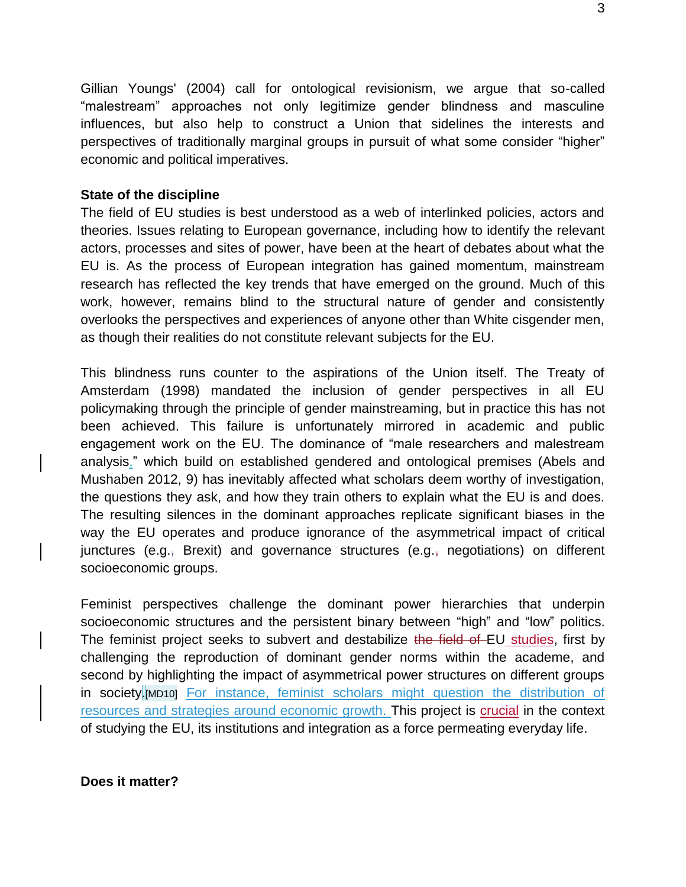Gillian Youngs' (2004) call for ontological revisionism, we argue that so-called "malestream" approaches not only legitimize gender blindness and masculine influences, but also help to construct a Union that sidelines the interests and perspectives of traditionally marginal groups in pursuit of what some consider "higher" economic and political imperatives.

#### **State of the discipline**

The field of EU studies is best understood as a web of interlinked policies, actors and theories. Issues relating to European governance, including how to identify the relevant actors, processes and sites of power, have been at the heart of debates about what the EU is. As the process of European integration has gained momentum, mainstream research has reflected the key trends that have emerged on the ground. Much of this work, however, remains blind to the structural nature of gender and consistently overlooks the perspectives and experiences of anyone other than White cisgender men, as though their realities do not constitute relevant subjects for the EU.

This blindness runs counter to the aspirations of the Union itself. The Treaty of Amsterdam (1998) mandated the inclusion of gender perspectives in all EU policymaking through the principle of gender mainstreaming, but in practice this has not been achieved. This failure is unfortunately mirrored in academic and public engagement work on the EU. The dominance of "male researchers and malestream analysis," which build on established gendered and ontological premises (Abels and Mushaben 2012, 9) has inevitably affected what scholars deem worthy of investigation, the questions they ask, and how they train others to explain what the EU is and does. The resulting silences in the dominant approaches replicate significant biases in the way the EU operates and produce ignorance of the asymmetrical impact of critical junctures (e.g., Brexit) and governance structures (e.g., negotiations) on different socioeconomic groups.

Feminist perspectives challenge the dominant power hierarchies that underpin socioeconomic structures and the persistent binary between "high" and "low" politics. The feminist project seeks to subvert and destabilize the field of EU studies, first by challenging the reproduction of dominant gender norms within the academe, and second by highlighting the impact of asymmetrical power structures on different groups in society.[MD10] For instance, feminist scholars might question the distribution of resources and strategies around economic growth. This project is crucial in the context of studying the EU, its institutions and integration as a force permeating everyday life.

**Does it matter?**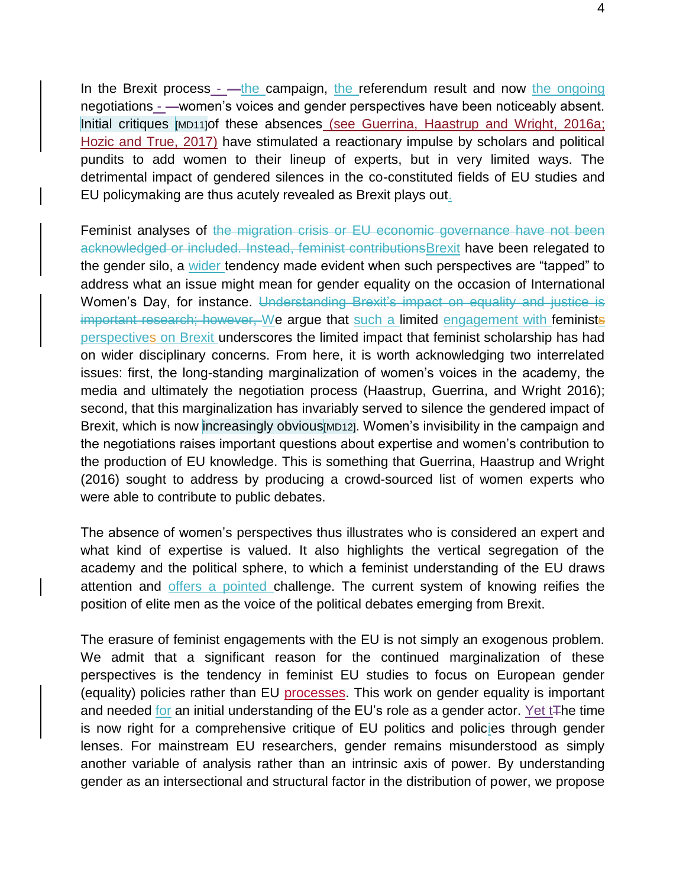In the Brexit process - - the campaign, the referendum result and now the ongoing negotiations - —women's voices and gender perspectives have been noticeably absent. Initial critiques [MD11]of these absences (see Guerrina, Haastrup and Wright, 2016a; Hozic and True, 2017) have stimulated a reactionary impulse by scholars and political pundits to add women to their lineup of experts, but in very limited ways. The detrimental impact of gendered silences in the co-constituted fields of EU studies and EU policymaking are thus acutely revealed as Brexit plays out.

Feminist analyses of the migration crisis or EU economic governance have not been acknowledged or included. Instead, feminist contributionsBrexit have been relegated to the gender silo, a wider tendency made evident when such perspectives are "tapped" to address what an issue might mean for gender equality on the occasion of International Women's Day, for instance. Understanding Brexit's impact on equality and justice is important research; however, We argue that such a limited engagement with feminists perspectives on Brexit underscores the limited impact that feminist scholarship has had on wider disciplinary concerns. From here, it is worth acknowledging two interrelated issues: first, the long-standing marginalization of women's voices in the academy, the media and ultimately the negotiation process (Haastrup, Guerrina, and Wright 2016); second, that this marginalization has invariably served to silence the gendered impact of Brexit, which is now increasingly obvious MD12. Women's invisibility in the campaign and the negotiations raises important questions about expertise and women's contribution to the production of EU knowledge. This is something that Guerrina, Haastrup and Wright (2016) sought to address by producing a crowd-sourced list of women experts who were able to contribute to public debates.

The absence of women's perspectives thus illustrates who is considered an expert and what kind of expertise is valued. It also highlights the vertical segregation of the academy and the political sphere, to which a feminist understanding of the EU draws attention and offers a pointed challenge. The current system of knowing reifies the position of elite men as the voice of the political debates emerging from Brexit.

The erasure of feminist engagements with the EU is not simply an exogenous problem. We admit that a significant reason for the continued marginalization of these perspectives is the tendency in feminist EU studies to focus on European gender (equality) policies rather than EU processes. This work on gender equality is important and needed for an initial understanding of the EU's role as a gender actor. Yet t<sub>The time</sub> is now right for a comprehensive critique of EU politics and policies through gender lenses. For mainstream EU researchers, gender remains misunderstood as simply another variable of analysis rather than an intrinsic axis of power. By understanding gender as an intersectional and structural factor in the distribution of power, we propose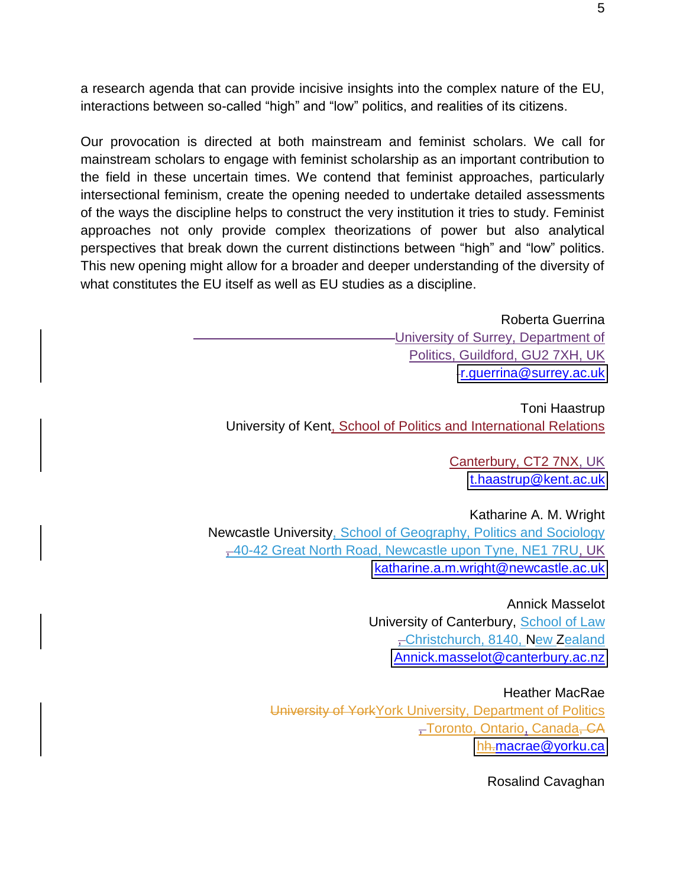a research agenda that can provide incisive insights into the complex nature of the EU, interactions between so-called "high" and "low" politics, and realities of its citizens.

Our provocation is directed at both mainstream and feminist scholars. We call for mainstream scholars to engage with feminist scholarship as an important contribution to the field in these uncertain times. We contend that feminist approaches, particularly intersectional feminism, create the opening needed to undertake detailed assessments of the ways the discipline helps to construct the very institution it tries to study. Feminist approaches not only provide complex theorizations of power but also analytical perspectives that break down the current distinctions between "high" and "low" politics. This new opening might allow for a broader and deeper understanding of the diversity of what constitutes the EU itself as well as EU studies as a discipline.

> Roberta Guerrina University of Surrey, Department of Politics, Guildford, GU2 7XH, UK [r.guerrina@surrey.ac.uk](mailto:r.guerrina@surrey.ac.uk)

Toni Haastrup University of Kent, School of Politics and International Relations

> Canterbury, CT2 7NX, UK [t.haastrup@kent.ac.uk](mailto:t.haastrup@kent.ac.uk)

Katharine A. M. Wright Newcastle University, School of Geography, Politics and Sociology , 40-42 Great North Road, Newcastle upon Tyne, NE1 7RU, UK [katharine.a.m.wright@newcastle.ac.uk](mailto:katharine.a.m.wright@newcastle.ac.uk) 

> Annick Masselot University of Canterbury, School of Law , Christchurch, 8140, New Zealand [Annick.masselot@canterbury.ac.nz](mailto:Annick.masselot@canterbury.ac.nz)

Heather MacRae University of YorkYork University, Department of Politics , Toronto, Ontario, Canada, CA [hh.macrae@yorku.ca](mailto:h.macrae@yorku.ca) 

Rosalind Cavaghan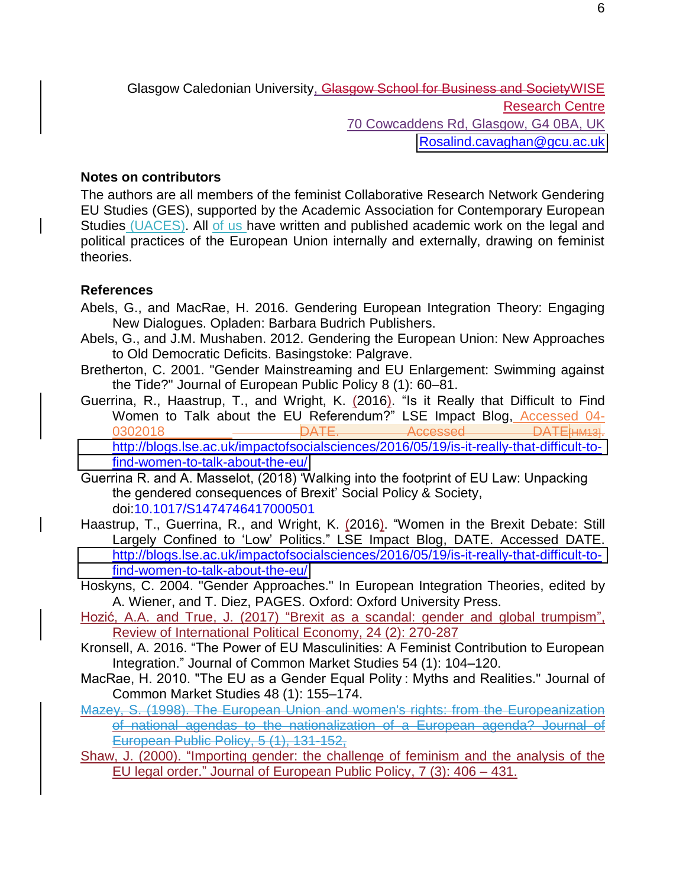Glasgow Caledonian University, Glasgow School for Business and SocietyWISE Research Centre 70 Cowcaddens Rd, Glasgow, G4 0BA, UK [Rosalind.cavaghan@gcu.ac.uk](mailto:Rosalind.cavaghan@gcu.ac.uk) 

#### **Notes on contributors**

The authors are all members of the feminist Collaborative Research Network Gendering EU Studies (GES), supported by the Academic Association for Contemporary European Studies (UACES). All of us have written and published academic work on the legal and political practices of the European Union internally and externally, drawing on feminist theories.

#### **References**

- Abels, G., and MacRae, H. 2016. Gendering European Integration Theory: Engaging New Dialogues. Opladen: Barbara Budrich Publishers.
- Abels, G., and J.M. Mushaben. 2012. Gendering the European Union: New Approaches to Old Democratic Deficits. Basingstoke: Palgrave.
- Bretherton, C. 2001. "Gender Mainstreaming and EU Enlargement: Swimming against the Tide?" Journal of European Public Policy 8 (1): 60–81.
- Guerrina, R., Haastrup, T., and Wright, K. (2016). "Is it Really that Difficult to Find Women to Talk about the EU Referendum?" LSE Impact Blog, Accessed 04- 0302018 DATE. Accessed DATE[HM13]. [http://blogs.lse.ac.uk/impactofsocialsciences/2016/05/19/is-it-really-that-difficult-to](http://blogs.lse.ac.uk/impactofsocialsciences/2016/05/19/is-it-really-that-difficult-to-find-women-to-talk-about-the-eu/)[find-women-to-talk-about-the-eu/](http://blogs.lse.ac.uk/impactofsocialsciences/2016/05/19/is-it-really-that-difficult-to-find-women-to-talk-about-the-eu/)
- Guerrina R. and A. Masselot, (2018) 'Walking into the footprint of EU Law: Unpacking the gendered consequences of Brexit' Social Policy & Society, doi:10.1017/S1474746417000501
- Haastrup, T., Guerrina, R., and Wright, K. (2016). "Women in the Brexit Debate: Still Largely Confined to 'Low' Politics." LSE Impact Blog, DATE. Accessed DATE. [http://blogs.lse.ac.uk/impactofsocialsciences/2016/05/19/is-it-really-that-difficult-to](http://blogs.lse.ac.uk/impactofsocialsciences/2016/05/19/is-it-really-that-difficult-to-find-women-to-talk-about-the-eu/)[find-women-to-talk-about-the-eu/](http://blogs.lse.ac.uk/impactofsocialsciences/2016/05/19/is-it-really-that-difficult-to-find-women-to-talk-about-the-eu/)
- Hoskyns, C. 2004. "Gender Approaches." In European Integration Theories, edited by A. Wiener, and T. Diez, PAGES. Oxford: Oxford University Press.
- Hozić, A.A. and True, J. (2017) "Brexit as a scandal: gender and global trumpism", Review of International Political Economy, 24 (2): 270-287
- Kronsell, A. 2016. "The Power of EU Masculinities: A Feminist Contribution to European Integration." Journal of Common Market Studies 54 (1): 104–120.
- MacRae, H. 2010. "The EU as a Gender Equal Polity: Myths and Realities." Journal of Common Market Studies 48 (1): 155–174.
- Mazey, S. (1998). The European Union and women's rights: from the Europeanization of national agendas to the nationalization of a European agenda? Journal of European Public Policy, 5 (1), 131-152,
- Shaw, J. (2000). "Importing gender: the challenge of feminism and the analysis of the EU legal order." Journal of European Public Policy, 7 (3): 406 – 431.